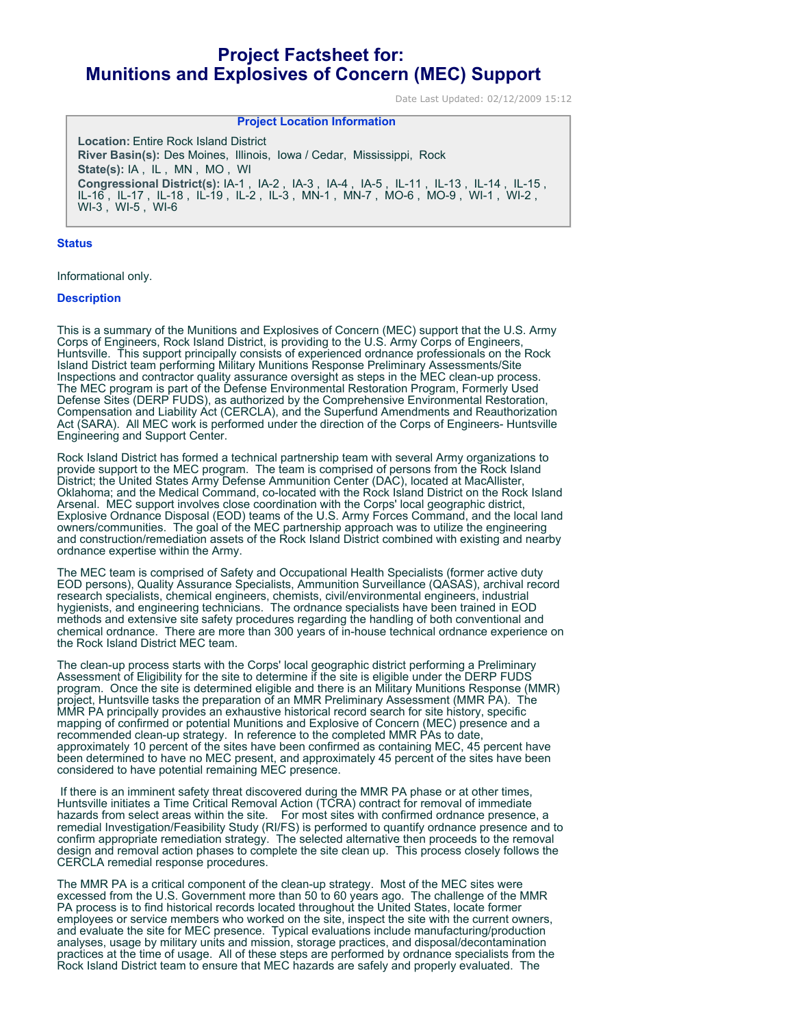# **Project Factsheet for: Munitions and Explosives of Concern (MEC) Support**

Date Last Updated: 02/12/2009 15:12

## **Project Location Information**

**Location:** Entire Rock Island District **River Basin(s):** Des Moines, Illinois, Iowa / Cedar, Mississippi, Rock **State(s):** IA , IL , MN , MO , WI **Congressional District(s):** IA-1 , IA-2 , IA-3 , IA-4 , IA-5 , IL-11 , IL-13 , IL-14 , IL-15 , IL-16 , IL-17 , IL-18 , IL-19 , IL-2 , IL-3 , MN-1 , MN-7 , MO-6 , MO-9 , WI-1 , WI-2 , WI-3 , WI-5 , WI-6

#### **Status**

Informational only.

### **Description**

This is a summary of the Munitions and Explosives of Concern (MEC) support that the U.S. Army Corps of Engineers, Rock Island District, is providing to the U.S. Army Corps of Engineers, Huntsville. This support principally consists of experienced ordnance professionals on the Rock Island District team performing Military Munitions Response Preliminary Assessments/Site Inspections and contractor quality assurance oversight as steps in the MEC clean-up process. The MEC program is part of the Defense Environmental Restoration Program, Formerly Used Defense Sites (DERP FUDS), as authorized by the Comprehensive Environmental Restoration, Compensation and Liability Act (CERCLA), and the Superfund Amendments and Reauthorization Act (SARA). All MEC work is performed under the direction of the Corps of Engineers- Huntsville Engineering and Support Center.

Rock Island District has formed a technical partnership team with several Army organizations to provide support to the MEC program. The team is comprised of persons from the Rock Island District; the United States Army Defense Ammunition Center (DAC), located at MacAllister, Oklahoma; and the Medical Command, co-located with the Rock Island District on the Rock Island Arsenal. MEC support involves close coordination with the Corps' local geographic district, Explosive Ordnance Disposal (EOD) teams of the U.S. Army Forces Command, and the local land owners/communities. The goal of the MEC partnership approach was to utilize the engineering and construction/remediation assets of the Rock Island District combined with existing and nearby ordnance expertise within the Army.

The MEC team is comprised of Safety and Occupational Health Specialists (former active duty EOD persons), Quality Assurance Specialists, Ammunition Surveillance (QASAS), archival record research specialists, chemical engineers, chemists, civil/environmental engineers, industrial hygienists, and engineering technicians. The ordnance specialists have been trained in EOD methods and extensive site safety procedures regarding the handling of both conventional and chemical ordnance. There are more than 300 years of in-house technical ordnance experience on the Rock Island District MEC team.

The clean-up process starts with the Corps' local geographic district performing a Preliminary Assessment of Eligibility for the site to determine if the site is eligible under the DERP FUDS program. Once the site is determined eligible and there is an Military Munitions Response (MMR) project, Huntsville tasks the preparation of an MMR Preliminary Assessment (MMR PA). The MMR PA principally provides an exhaustive historical record search for site history, specific mapping of confirmed or potential Munitions and Explosive of Concern (MEC) presence and a recommended clean-up strategy. In reference to the completed MMR PAs to date, approximately 10 percent of the sites have been confirmed as containing MEC, 45 percent have been determined to have no MEC present, and approximately 45 percent of the sites have been considered to have potential remaining MEC presence.

 If there is an imminent safety threat discovered during the MMR PA phase or at other times, Huntsville initiates a Time Critical Removal Action (TCRA) contract for removal of immediate hazards from select areas within the site. For most sites with confirmed ordnance presence, a remedial Investigation/Feasibility Study (RI/FS) is performed to quantify ordnance presence and to confirm appropriate remediation strategy. The selected alternative then proceeds to the removal design and removal action phases to complete the site clean up. This process closely follows the CERCLA remedial response procedures.

The MMR PA is a critical component of the clean-up strategy. Most of the MEC sites were excessed from the U.S. Government more than 50 to 60 years ago. The challenge of the MMR PA process is to find historical records located throughout the United States, locate former employees or service members who worked on the site, inspect the site with the current owners, and evaluate the site for MEC presence. Typical evaluations include manufacturing/production analyses, usage by military units and mission, storage practices, and disposal/decontamination practices at the time of usage. All of these steps are performed by ordnance specialists from the Rock Island District team to ensure that MEC hazards are safely and properly evaluated. The